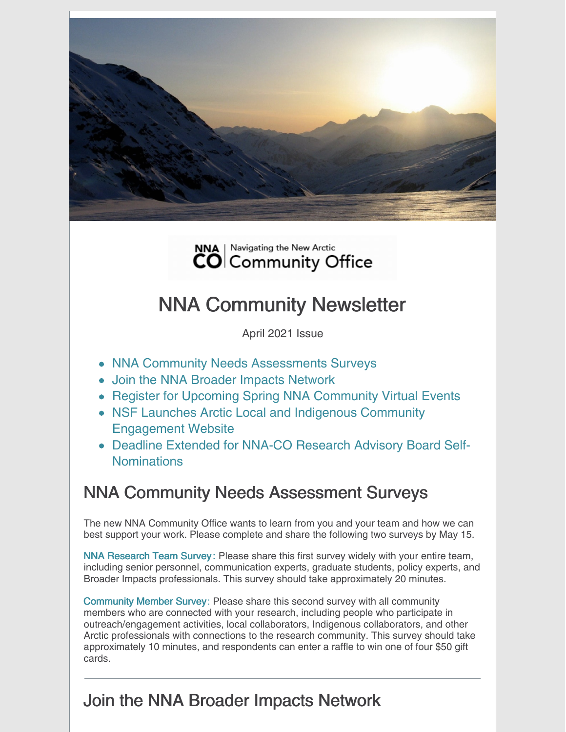



# NNA Community Newsletter

April 2021 Issue

- NNA Community Needs Assessments Surveys
- Join the NNA Broader Impacts Network
- Register for Upcoming Spring NNA Community Virtual Events
- NSF Launches Arctic Local and Indigenous Community Engagement Website
- Deadline Extended for NNA-CO Research Advisory Board Self-Nominations

## NNA Community Needs Assessment Surveys

The new NNA Community Office wants to learn from you and your team and how we can best support your work. Please complete and share the following two surveys by May 15.

NNA [Research](https://cuboulder.qualtrics.com/jfe/form/SV_ba4sjpCiBKWnjGC) Team Survey : Please share this first survey widely with your entire team, including senior personnel, communication experts, graduate students, policy experts, and Broader Impacts professionals. This survey should take approximately 20 minutes.

[Community](https://cuboulder.qualtrics.com/jfe/form/SV_5iLe4nlnawSd7kq) Member Survey: Please share this second survey with all community members who are connected with your research, including people who participate in outreach/engagement activities, local collaborators, Indigenous collaborators, and other Arctic professionals with connections to the research community. This survey should take approximately 10 minutes, and respondents can enter a raffle to win one of four \$50 gift cards.

# Join the NNA Broader Impacts Network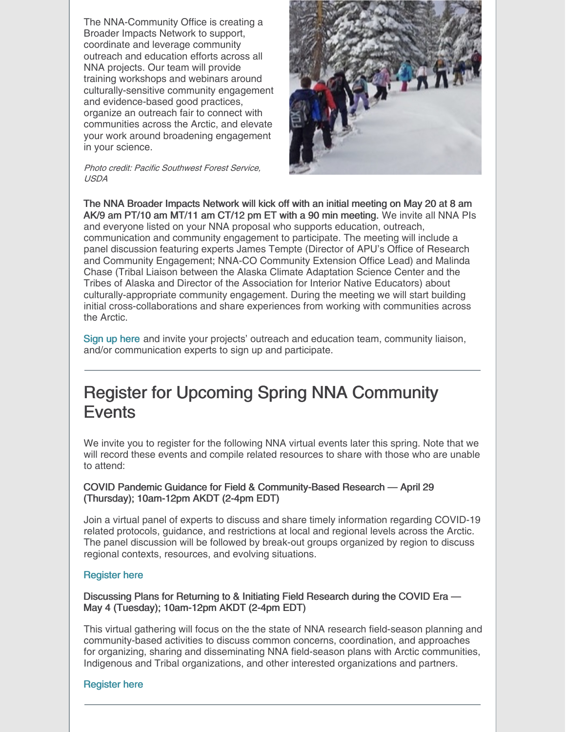The NNA-Community Office is creating a Broader Impacts Network to support, coordinate and leverage community outreach and education efforts across all NNA projects. Our team will provide training workshops and webinars around culturally-sensitive community engagement and evidence-based good practices, organize an outreach fair to connect with communities across the Arctic, and elevate your work around broadening engagement in your science.

Photo credit: Pacific Southwest Forest Service, USDA



The NNA Broader Impacts Network will kick off with an initial meeting on May 20 at 8 am AK/9 am PT/10 am MT/11 am CT/12 pm ET with a 90 min meeting. We invite all NNA PIs and everyone listed on your NNA proposal who supports education, outreach, communication and community engagement to participate. The meeting will include a panel discussion featuring experts James Tempte (Director of APU's Office of Research and Community Engagement; NNA-CO Community Extension Office Lead) and Malinda Chase (Tribal Liaison between the Alaska Climate Adaptation Science Center and the Tribes of Alaska and Director of the Association for Interior Native Educators) about culturally-appropriate community engagement. During the meeting we will start building initial cross-collaborations and share experiences from working with communities across the Arctic.

Sign up [here](https://www.eventbrite.com/e/nna-broader-impacts-network-kickoff-event-for-nna-funded-projects-tickets-150847590203) and invite your projects' outreach and education team, community liaison, and/or communication experts to sign up and participate.

# Register for Upcoming Spring NNA Community **Events**

We invite you to register for the following NNA virtual events later this spring. Note that we will record these events and compile related resources to share with those who are unable to attend:

#### COVID Pandemic Guidance for Field & Community-Based Research — April 29 (Thursday); 10am-12pm AKDT (2-4pm EDT)

Join a virtual panel of experts to discuss and share timely information regarding COVID-19 related protocols, guidance, and restrictions at local and regional levels across the Arctic. The panel discussion will be followed by break-out groups organized by region to discuss regional contexts, resources, and evolving situations.

#### [Register](https://cuboulder.zoom.us/meeting/register/tJcpf-yhrDwrGtIfq5hGLD1QF_v6kRrAsbG8) here

Discussing Plans for Returning to & Initiating Field Research during the COVID Era — May 4 (Tuesday); 10am-12pm AKDT (2-4pm EDT)

This virtual gathering will focus on the the state of NNA research field-season planning and community-based activities to discuss common concerns, coordination, and approaches for organizing, sharing and disseminating NNA field-season plans with Arctic communities, Indigenous and Tribal organizations, and other interested organizations and partners.

#### [Register](https://cuboulder.zoom.us/meeting/register/tJItfu2uqTsrGtH8ds-4I7lnvDTNn13_TFtv) here